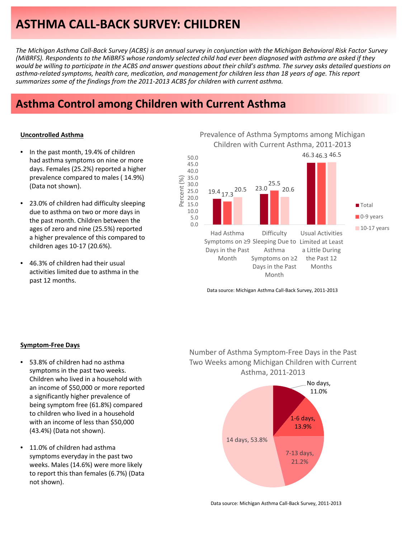# **ASTHMA CALL‐BACK SURVEY: CHILDREN**

The Michigan Asthma Call-Back Survey (ACBS) is an annual survey in conjunction with the Michigan Behavioral Risk Factor Survey (MiBRFS). Respondents to the MiBRFS whose randomly selected child had ever been diagnosed with asthma are asked if they would be willing to participate in the ACBS and answer questions about their child's asthma. The survey asks detailed questions on asthma-related symptoms, health care, medication, and management for children less than 18 years of age. This report *summarizes some of the findings from the 2011‐2013 ACBS for children with current asthma.*

Percent (%)

Percent

# **Asthma Control among Children with Current Asthma**

### **Uncontrolled Asthma**

- In the past month, 19.4% of children had asthma symptoms on nine or more days. Females (25.2%) reported a higher prevalence compared to males ( 14.9%) (Data not shown).
- 23.0% of children had difficulty sleeping due to asthma on two or more days in the past month. Children between the ages of zero and nine (25.5%) reported a higher prevalence of this compared to children ages 10‐17 (20.6%).
- 46.3% of children had their usual activities limited due to asthma in the past 12 months.

Prevalence of Asthma Symptoms among Michigan Children with Current Asthma, 2011‐2013



Data source: Michigan Asthma Call‐Back Survey, 2011‐2013

### **Symptom‐Free Days**

- 53.8% of children had no asthma symptoms in the past two weeks. Children who lived in a household with an income of \$50,000 or more reported a significantly higher prevalence of being symptom free (61.8%) compared to children who lived in a household with an income of less than \$50,000 (43.4%) (Data not shown).
- 11.0% of children had asthma symptoms everyday in the past two weeks. Males (14.6%) were more likely to report this than females (6.7%) (Data not shown).

## Number of Asthma Symptom‐Free Days in the Past Two Weeks among Michigan Children with Current Asthma, 2011‐2013

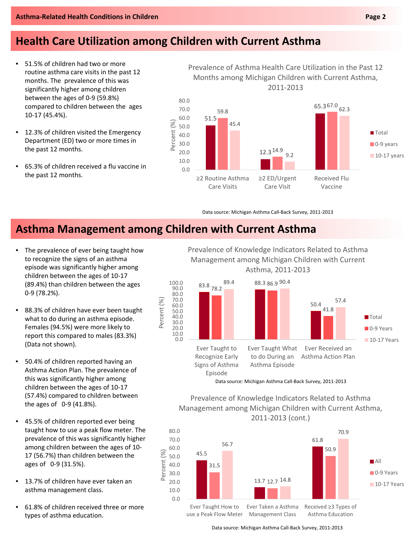# **Health Care Utilization among Children with Current Asthma**

- 51.5% of children had two or more routine asthma care visits in the past 12 months. The prevalence of this was significantly higher among children between the ages of 0‐9 (59.8%) compared to children between the ages 10‐17 (45.4%).
- 12.3% of children visited the Emergency Department (ED) two or more times in the past 12 months.
- 65.3% of children received a flu vaccine in the past 12 months.

Prevalence of Asthma Health Care Utilization in the Past 12 Months among Michigan Children with Current Asthma, 2011‐2013



Data source: Michigan Asthma Call‐Back Survey, 2011‐2013

# **Asthma Management among Children with Current Asthma**

- The prevalence of ever being taught how to recognize the signs of an asthma episode was significantly higher among children between the ages of 10‐17 (89.4%) than children between the ages 0‐9 (78.2%).
- 88.3% of children have ever been taught what to do during an asthma episode. Females (94.5%) were more likely to report this compared to males (83.3%) (Data not shown).
- 50.4% of children reported having an Asthma Action Plan. The prevalence of this was significantly higher among children between the ages of 10‐17 (57.4%) compared to children between the ages of 0‐9 (41.8%).
- 45.5% of children reported ever being taught how to use a peak flow meter. The prevalence of this was significantly higher among children between the ages of 10‐ 17 (56.7%) than children between the ages of 0‐9 (31.5%).
- 13.7% of children have ever taken an asthma management class.
- 61.8% of children received three or more types of asthma education.

Prevalence of Knowledge Indicators Related to Asthma Management among Michigan Children with Current Asthma, 2011‐2013



Prevalence of Knowledge Indicators Related to Asthma Management among Michigan Children with Current Asthma, 2011‐2013 (cont.)



Data source: Michigan Asthma Call‐Back Survey, 2011‐2013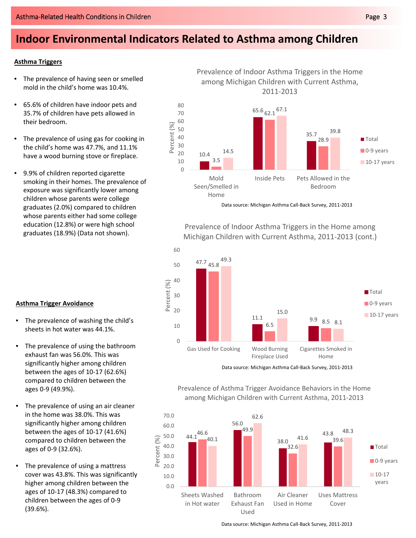# **Indoor Environmental Indicators Related to Asthma among Children**

## **Asthma Triggers**

- The prevalence of having seen or smelled mold in the child's home was 10.4%.
- 65.6% of children have indoor pets and 35.7% of children have pets allowed in their bedroom.
- The prevalence of using gas for cooking in the child's home was 47.7%, and 11.1% have a wood burning stove or fireplace.
- 9.9% of children reported cigarette smoking in their homes. The prevalence of exposure was significantly lower among children whose parents were college graduates (2.0%) compared to children whose parents either had some college education (12.8%) or were high school graduates (18.9%) (Data not shown).

• The prevalence of washing the child's sheets in hot water was 44.1%.

The prevalence of using the bathroom exhaust fan was 56.0%. This was significantly higher among children between the ages of 10‐17 (62.6%) compared to children between the

The prevalence of using an air cleaner in the home was 38.0%. This was significantly higher among children between the ages of 10‐17 (41.6%) compared to children between the

**Asthma Trigger Avoidance**

ages 0‐9 (49.9%).

ages of 0‐9 (32.6%).



Data source: Michigan Asthma Call‐Back Survey, 2011‐2013

Prevalence of Indoor Asthma Triggers in the Home among Michigan Children with Current Asthma, 2011‐2013 (cont.)



Data source: Michigan Asthma Call‐Back Survey, 2011‐2013



Prevalence of Asthma Trigger Avoidance Behaviors in the Home among Michigan Children with Current Asthma, 2011‐2013



60.0 50.0 Percent (%) Percent (%) 40.0 **Total** 30.0 ■ 0-9 years 20.0  $10-17$ 10.0 years 0.0 Sheets Washed Bathroom Air Cleaner Uses Mattress in Hot water Exhaust Fan Used in Home Cover Used

Data source: Michigan Asthma Call‐Back Survey, 2011‐2013

Prevalence of Indoor Asthma Triggers in the Home among Michigan Children with Current Asthma, 2011‐2013